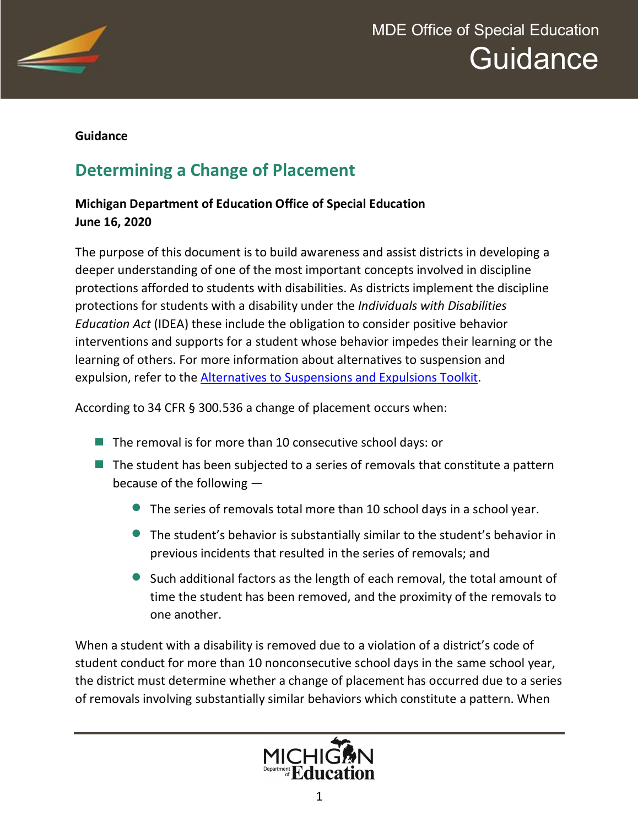

#### **Guidance**

# **Determining a Change of Placement**

### **Michigan Department of Education Office of Special Education June 16, 2020**

The purpose of this document is to build awareness and assist districts in developing a deeper understanding of one of the most important concepts involved in discipline protections afforded to students with disabilities. As districts implement the discipline protections for students with a disability under the *Individuals with Disabilities Education Act* (IDEA) these include the obligation to consider positive behavior interventions and supports for a student whose behavior impedes their learning or the learning of others. For more information about alternatives to suspension and expulsion, refer to the [Alternatives to Suspensions and Expulsions Toolkit.](https://www.michigan.gov/mde/0,4615,7-140-74638_72831---,00.html)

According to 34 CFR § 300.536 a change of placement occurs when:

- The removal is for more than 10 consecutive school days: or
- $\blacksquare$  The student has been subjected to a series of removals that constitute a pattern because of the following —
	- · The series of removals total more than 10 school days in a school year.
	- · The student's behavior is substantially similar to the student's behavior in previous incidents that resulted in the series of removals; and
	- · Such additional factors as the length of each removal, the total amount of time the student has been removed, and the proximity of the removals to one another.

When a student with a disability is removed due to a violation of a district's code of student conduct for more than 10 nonconsecutive school days in the same school year, the district must determine whether a change of placement has occurred due to a series of removals involving substantially similar behaviors which constitute a pattern. When

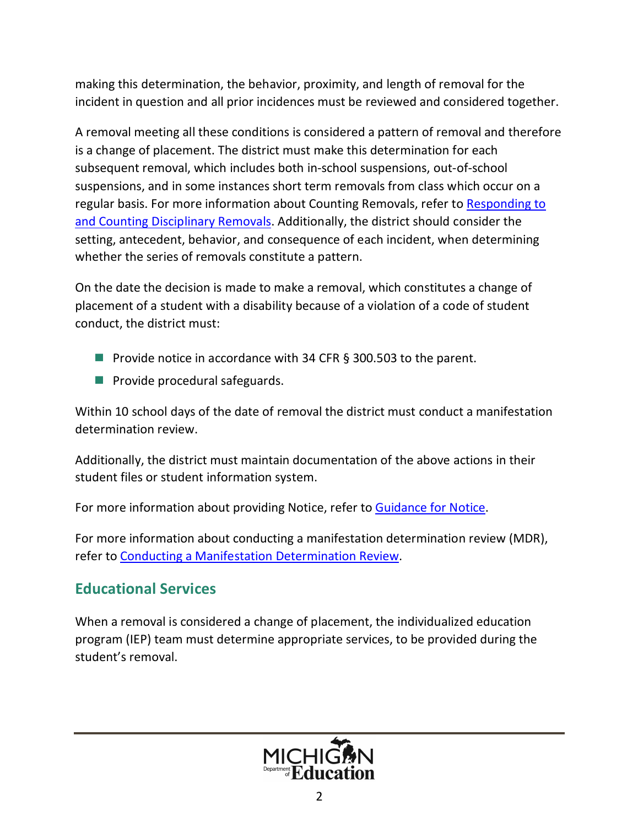making this determination, the behavior, proximity, and length of removal for the incident in question and all prior incidences must be reviewed and considered together.

A removal meeting all these conditions is considered a pattern of removal and therefore is a change of placement. The district must make this determination for each subsequent removal, which includes both in-school suspensions, out-of-school suspensions, and in some instances short term removals from class which occur on a regular basis. For more information about Counting Removals, refer to [Responding to](https://www.michigan.gov/documents/mde/CountingDisciplinaryRemovals_694079_7.pdf)  [and Counting Disciplinary Removals.](https://www.michigan.gov/documents/mde/CountingDisciplinaryRemovals_694079_7.pdf) Additionally, the district should consider the setting, antecedent, behavior, and consequence of each incident, when determining whether the series of removals constitute a pattern.

On the date the decision is made to make a removal, which constitutes a change of placement of a student with a disability because of a violation of a code of student conduct, the district must:

- Provide notice in accordance with 34 CFR § 300.503 to the parent.
- **Provide procedural safeguards.**

Within 10 school days of the date of removal the district must conduct a manifestation determination review.

Additionally, the district must maintain documentation of the above actions in their student files or student information system.

For more information about providing Notice, refer to [Guidance for Notice](https://www.michigan.gov/documents/mde/NoticeGuidance_565255_7.pdf).

For more information about conducting a manifestation determination review (MDR), refer to [Conducting a Manifestation Determination Review](https://www.michigan.gov/documents/mde/Conducting_MDR_694067_7.pdf).

## **Educational Services**

When a removal is considered a change of placement, the individualized education program (IEP) team must determine appropriate services, to be provided during the student's removal.